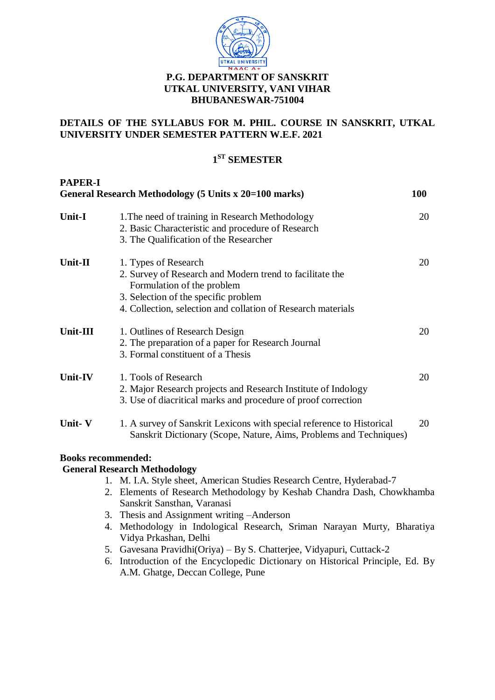

## **DETAILS OF THE SYLLABUS FOR M. PHIL. COURSE IN SANSKRIT, UTKAL UNIVERSITY UNDER SEMESTER PATTERN W.E.F. 2021**

# **1 ST SEMESTER**

**PAPER-I**

| PAPEK-1       | General Research Methodology (5 Units x 20=100 marks)                                                                                                                                                                  | <b>100</b> |
|---------------|------------------------------------------------------------------------------------------------------------------------------------------------------------------------------------------------------------------------|------------|
| <b>Unit-I</b> | 1. The need of training in Research Methodology<br>2. Basic Characteristic and procedure of Research<br>3. The Qualification of the Researcher                                                                         | 20         |
| Unit-II       | 1. Types of Research<br>2. Survey of Research and Modern trend to facilitate the<br>Formulation of the problem<br>3. Selection of the specific problem<br>4. Collection, selection and collation of Research materials | 20         |
| Unit-III      | 1. Outlines of Research Design<br>2. The preparation of a paper for Research Journal<br>3. Formal constituent of a Thesis                                                                                              | 20         |
| Unit-IV       | 1. Tools of Research<br>2. Major Research projects and Research Institute of Indology<br>3. Use of diacritical marks and procedure of proof correction                                                                 | 20         |
| Unit-V        | 1. A survey of Sanskrit Lexicons with special reference to Historical<br>Sanskrit Dictionary (Scope, Nature, Aims, Problems and Techniques)                                                                            | 20         |
|               | <b>Books recommended:</b><br><b>General Research Methodology</b><br>1. M. I.A. Style sheet, American Studies Research Centre, Hyderabad-7                                                                              |            |
|               | 2. Elements of Research Methodology by Keshab Chandra Dash, Chowkhamba                                                                                                                                                 |            |

- Sanskrit Sansthan, Varanasi 3. Thesis and Assignment writing –Anderson
- 4. Methodology in Indological Research, Sriman Narayan Murty, Bharatiya Vidya Prkashan, Delhi
- 5. Gavesana Pravidhi(Oriya) By S. Chatterjee, Vidyapuri, Cuttack-2
- 6. Introduction of the Encyclopedic Dictionary on Historical Principle, Ed. By A.M. Ghatge, Deccan College, Pune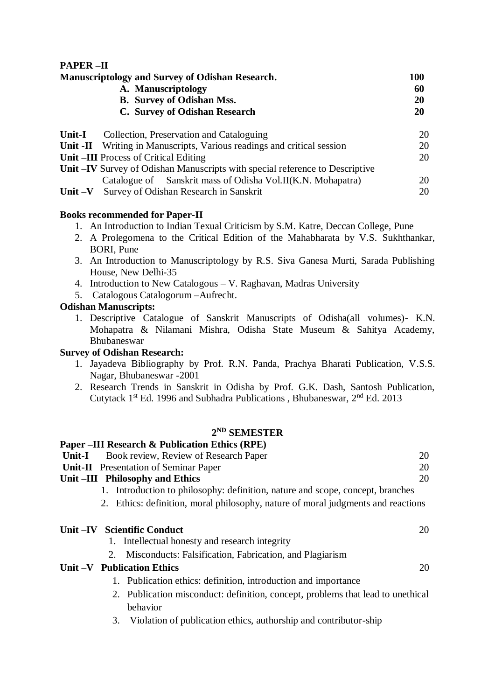| <b>PAPER-II</b>                                                                                                  |    |                                                           |    |
|------------------------------------------------------------------------------------------------------------------|----|-----------------------------------------------------------|----|
| <b>Manuscriptology and Survey of Odishan Research.</b><br>A. Manuscriptology<br><b>B.</b> Survey of Odishan Mss. |    |                                                           |    |
|                                                                                                                  |    | C. Survey of Odishan Research                             | 20 |
|                                                                                                                  |    | <b>Unit-I</b><br>Collection, Preservation and Cataloguing | 20 |
| Writing in Manuscripts, Various readings and critical session<br>Unit $-II$                                      | 20 |                                                           |    |
| Unit –III Process of Critical Editing                                                                            | 20 |                                                           |    |
| Unit –IV Survey of Odishan Manuscripts with special reference to Descriptive                                     |    |                                                           |    |
| Catalogue of Sanskrit mass of Odisha Vol.II(K.N. Mohapatra)                                                      | 20 |                                                           |    |

**Unit –V** Survey of Odishan Research in Sanskrit 20

### **Books recommended for Paper-II**

- 1. An Introduction to Indian Texual Criticism by S.M. Katre, Deccan College, Pune
- 2. A Prolegomena to the Critical Edition of the Mahabharata by V.S. Sukhthankar, BORI, Pune
- 3. An Introduction to Manuscriptology by R.S. Siva Ganesa Murti, Sarada Publishing House, New Delhi-35
- 4. Introduction to New Catalogous V. Raghavan, Madras University
- 5. Catalogous Catalogorum –Aufrecht.

## **Odishan Manuscripts:**

1. Descriptive Catalogue of Sanskrit Manuscripts of Odisha(all volumes)- K.N. Mohapatra & Nilamani Mishra, Odisha State Museum & Sahitya Academy, Bhubaneswar

#### **Survey of Odishan Research:**

- 1. Jayadeva Bibliography by Prof. R.N. Panda, Prachya Bharati Publication, V.S.S. Nagar, Bhubaneswar -2001
- 2. Research Trends in Sanskrit in Odisha by Prof. G.K. Dash, Santosh Publication, Cutytack  $1<sup>st</sup>$  Ed. 1996 and Subhadra Publications, Bhubaneswar,  $2<sup>nd</sup>$  Ed. 2013

#### **2 ND SEMESTER**

### **Paper –III Research & Publication Ethics (RPE)**

| <b>Unit-I</b> | Book review, Review of Research Paper                                            | 20 |
|---------------|----------------------------------------------------------------------------------|----|
|               | <b>Unit-II</b> Presentation of Seminar Paper                                     | 20 |
|               | Unit –III Philosophy and Ethics                                                  | 20 |
|               | 1. Introduction to philosophy: definition, nature and scope, concept, branches   |    |
|               | 2. Ethics: definition, moral philosophy, nature of moral judgments and reactions |    |
|               | Unit-IV Scientific Conduct                                                       | 20 |
|               | Intellectual honesty and research integrity<br>Ι.                                |    |
|               | Misconducts: Falsification, Fabrication, and Plagiarism<br>2.                    |    |
|               | Unit - V Publication Ethics                                                      | 20 |
|               | 1. Publication ethics: definition, introduction and importance                   |    |
|               | 2. Publication misconduct: definition, concept, problems that lead to unethical  |    |
|               | behavior                                                                         |    |

3. Violation of publication ethics, authorship and contributor-ship